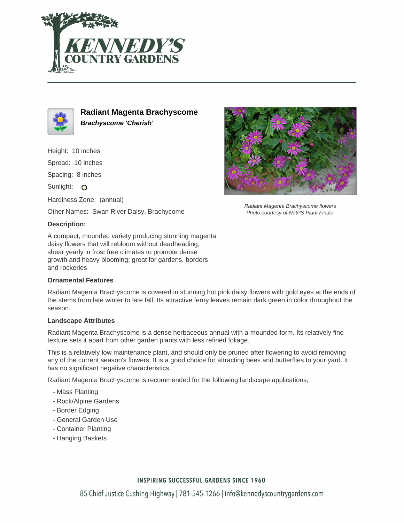



**Radiant Magenta Brachyscome Brachyscome 'Cherish'**

Height: 10 inches

Spread: 10 inches

Spacing: 8 inches

Sunlight: O

Hardiness Zone: (annual)

Other Names: Swan River Daisy, Brachycome

### **Description:**

A compact, mounded variety producing stunning magenta daisy flowers that will rebloom without deadheading; shear yearly in frost free climates to promote dense growth and heavy blooming; great for gardens, borders and rockeries

# **Ornamental Features**

Radiant Magenta Brachyscome is covered in stunning hot pink daisy flowers with gold eyes at the ends of the stems from late winter to late fall. Its attractive ferny leaves remain dark green in color throughout the season.

### **Landscape Attributes**

Radiant Magenta Brachyscome is a dense herbaceous annual with a mounded form. Its relatively fine texture sets it apart from other garden plants with less refined foliage.

This is a relatively low maintenance plant, and should only be pruned after flowering to avoid removing any of the current season's flowers. It is a good choice for attracting bees and butterflies to your yard. It has no significant negative characteristics.

Radiant Magenta Brachyscome is recommended for the following landscape applications;

- Mass Planting
- Rock/Alpine Gardens
- Border Edging
- General Garden Use
- Container Planting
- Hanging Baskets



Radiant Magenta Brachyscome flowers Photo courtesy of NetPS Plant Finder

# **INSPIRING SUCCESSFUL GARDENS SINCE 1960**

85 Chief Justice Cushing Highway | 781-545-1266 | info@kennedyscountrygardens.com